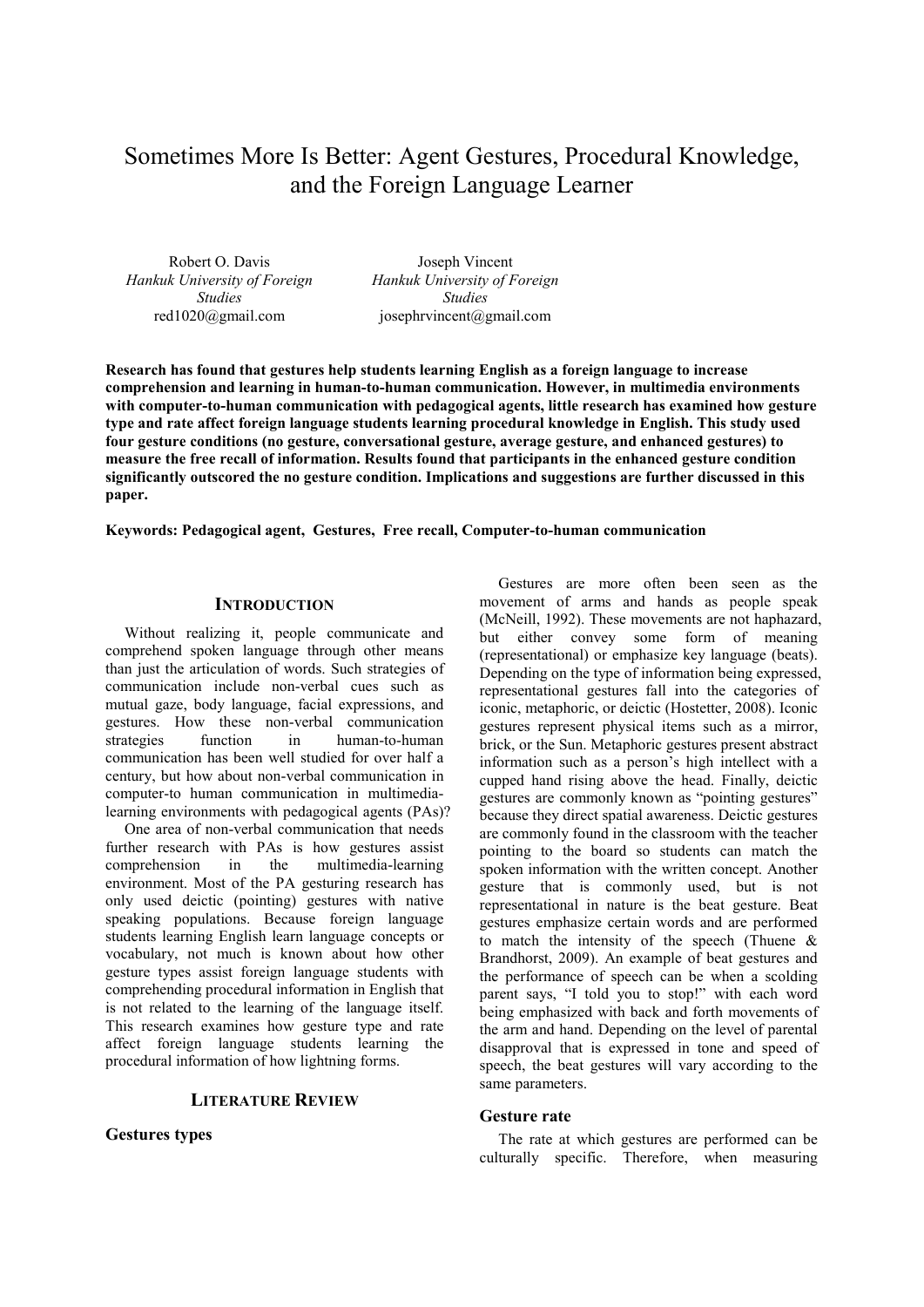# Sometimes More Is Better: Agent Gestures, Procedural Knowledge, and the Foreign Language Learner

Robert O. Davis *Hankuk University of Foreign Studies* red1020@gmail.com

Joseph Vincent *Hankuk University of Foreign Studies* josephrvincent@gmail.com

**Research has found that gestures help students learning English as a foreign language to increase comprehension and learning in human-to-human communication. However, in multimedia environments with computer-to-human communication with pedagogical agents, little research has examined how gesture type and rate affect foreign language students learning procedural knowledge in English. This study used four gesture conditions (no gesture, conversational gesture, average gesture, and enhanced gestures) to measure the free recall of information. Results found that participants in the enhanced gesture condition significantly outscored the no gesture condition. Implications and suggestions are further discussed in this paper.** 

**Keywords: Pedagogical agent, Gestures, Free recall, Computer-to-human communication** 

## **INTRODUCTION**

Without realizing it, people communicate and comprehend spoken language through other means than just the articulation of words. Such strategies of communication include non-verbal cues such as mutual gaze, body language, facial expressions, and gestures. How these non-verbal communication strategies function in human-to-human communication has been well studied for over half a century, but how about non-verbal communication in computer-to human communication in multimedialearning environments with pedagogical agents (PAs)?

One area of non-verbal communication that needs further research with PAs is how gestures assist comprehension in the multimedia-learning environment. Most of the PA gesturing research has only used deictic (pointing) gestures with native speaking populations. Because foreign language students learning English learn language concepts or vocabulary, not much is known about how other gesture types assist foreign language students with comprehending procedural information in English that is not related to the learning of the language itself. This research examines how gesture type and rate affect foreign language students learning the procedural information of how lightning forms.

## **LITERATURE REVIEW**

## **Gestures types**

Gestures are more often been seen as the movement of arms and hands as people speak (McNeill, 1992). These movements are not haphazard, but either convey some form of meaning (representational) or emphasize key language (beats). Depending on the type of information being expressed, representational gestures fall into the categories of iconic, metaphoric, or deictic (Hostetter, 2008). Iconic gestures represent physical items such as a mirror, brick, or the Sun. Metaphoric gestures present abstract information such as a person's high intellect with a cupped hand rising above the head. Finally, deictic gestures are commonly known as "pointing gestures" because they direct spatial awareness. Deictic gestures are commonly found in the classroom with the teacher pointing to the board so students can match the spoken information with the written concept. Another gesture that is commonly used, but is not representational in nature is the beat gesture. Beat gestures emphasize certain words and are performed to match the intensity of the speech (Thuene & Brandhorst, 2009). An example of beat gestures and the performance of speech can be when a scolding parent says, "I told you to stop!" with each word being emphasized with back and forth movements of the arm and hand. Depending on the level of parental disapproval that is expressed in tone and speed of speech, the beat gestures will vary according to the same parameters.

## **Gesture rate**

The rate at which gestures are performed can be culturally specific. Therefore, when measuring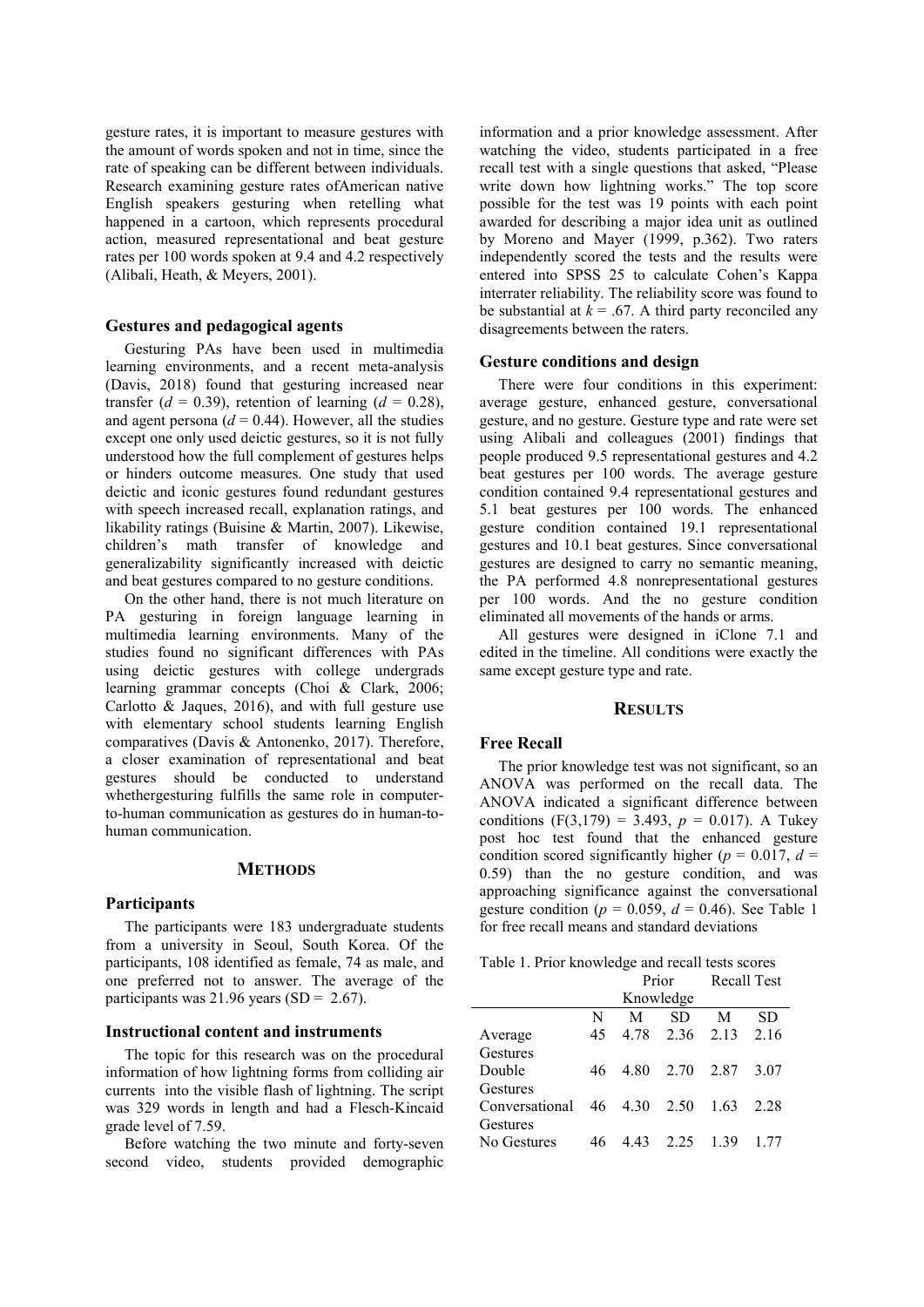gesture rates, it is important to measure gestures with the amount of words spoken and not in time, since the rate of speaking can be different between individuals. Research examining gesture rates ofAmerican native English speakers gesturing when retelling what happened in a cartoon, which represents procedural action, measured representational and beat gesture rates per 100 words spoken at 9.4 and 4.2 respectively (Alibali, Heath, & Meyers, 2001).

## **Gestures and pedagogical agents**

Gesturing PAs have been used in multimedia learning environments, and a recent meta-analysis (Davis, 2018) found that gesturing increased near transfer  $(d = 0.39)$ , retention of learning  $(d = 0.28)$ , and agent persona  $(d = 0.44)$ . However, all the studies except one only used deictic gestures, so it is not fully understood how the full complement of gestures helps or hinders outcome measures. One study that used deictic and iconic gestures found redundant gestures with speech increased recall, explanation ratings, and likability ratings (Buisine & Martin, 2007). Likewise, children's math transfer of knowledge and generalizability significantly increased with deictic and beat gestures compared to no gesture conditions.

On the other hand, there is not much literature on PA gesturing in foreign language learning in multimedia learning environments. Many of the studies found no significant differences with PAs using deictic gestures with college undergrads learning grammar concepts (Choi & Clark, 2006; Carlotto & Jaques, 2016), and with full gesture use with elementary school students learning English comparatives (Davis & Antonenko, 2017). Therefore, a closer examination of representational and beat gestures should be conducted to understand whethergesturing fulfills the same role in computerto-human communication as gestures do in human-tohuman communication.

### **METHODS**

#### **Participants**

The participants were 183 undergraduate students from a university in Seoul, South Korea. Of the participants, 108 identified as female, 74 as male, and one preferred not to answer. The average of the participants was  $21.96$  years (SD = 2.67).

#### **Instructional content and instruments**

The topic for this research was on the procedural information of how lightning forms from colliding air currents into the visible flash of lightning. The script was 329 words in length and had a Flesch-Kincaid grade level of 7.59.

Before watching the two minute and forty-seven second video, students provided demographic

information and a prior knowledge assessment. After watching the video, students participated in a free recall test with a single questions that asked, "Please write down how lightning works." The top score possible for the test was 19 points with each point awarded for describing a major idea unit as outlined by Moreno and Mayer (1999, p.362). Two raters independently scored the tests and the results were entered into SPSS 25 to calculate Cohen's Kappa interrater reliability. The reliability score was found to be substantial at  $k = .67$ . A third party reconciled any disagreements between the raters.

#### **Gesture conditions and design**

There were four conditions in this experiment: average gesture, enhanced gesture, conversational gesture, and no gesture. Gesture type and rate were set using Alibali and colleagues (2001) findings that people produced 9.5 representational gestures and 4.2 beat gestures per 100 words. The average gesture condition contained 9.4 representational gestures and 5.1 beat gestures per 100 words. The enhanced gesture condition contained 19.1 representational gestures and 10.1 beat gestures. Since conversational gestures are designed to carry no semantic meaning, the PA performed 4.8 nonrepresentational gestures per 100 words. And the no gesture condition eliminated all movements of the hands or arms.

All gestures were designed in iClone 7.1 and edited in the timeline. All conditions were exactly the same except gesture type and rate.

## **RESULTS**

#### **Free Recall**

The prior knowledge test was not significant, so an ANOVA was performed on the recall data. The ANOVA indicated a significant difference between conditions  $(F(3,179) = 3.493, p = 0.017)$ . A Tukey post hoc test found that the enhanced gesture condition scored significantly higher ( $p = 0.017$ ,  $d =$ 0.59) than the no gesture condition, and was approaching significance against the conversational gesture condition ( $p = 0.059$ ,  $d = 0.46$ ). See Table 1 for free recall means and standard deviations

|  | Table 1. Prior knowledge and recall tests scores |                                                    |  |  |
|--|--------------------------------------------------|----------------------------------------------------|--|--|
|  |                                                  | $D_{\text{max}} = D_{\text{max}} + D_{\text{max}}$ |  |  |

|                |    | Prior |                   | <b>Recall Test</b> |      |
|----------------|----|-------|-------------------|--------------------|------|
|                |    |       | Knowledge         |                    |      |
|                | N  | М     | SD.               | M                  | SD   |
| Average        | 45 |       | 4.78 2.36 2.13    |                    | 2.16 |
| Gestures       |    |       |                   |                    |      |
| Double         | 46 |       | 4.80 2.70 2.87    |                    | 3.07 |
| Gestures       |    |       |                   |                    |      |
| Conversational |    |       | 46 4.30 2.50 1.63 |                    | 2.28 |
| Gestures       |    |       |                   |                    |      |
| No Gestures    | 46 | 4.43  | 2.25              | 1.39               | 1.77 |
|                |    |       |                   |                    |      |